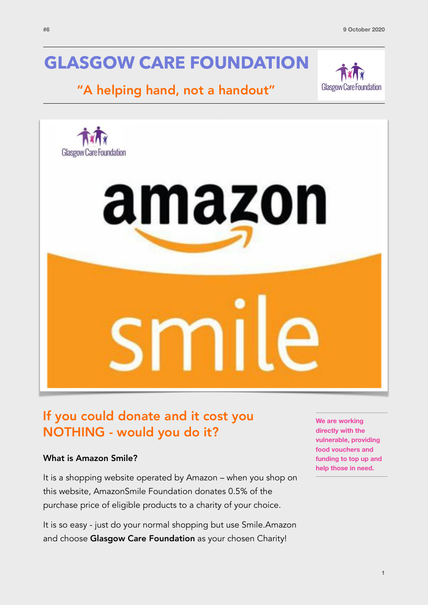# **GLASGOW CARE FOUNDATION**

## "A helping hand, not a handout"





## If you could donate and it cost you NOTHING - would you do it?

#### What is Amazon Smile?

It is a shopping website operated by Amazon – when you shop on this website, AmazonSmile Foundation donates 0.5% of the purchase price of eligible products to a charity of your choice.

It is so easy - just do your normal shopping but use Smile.Amazon and choose Glasgow Care Foundation as your chosen Charity!

**We are working directly with the vulnerable, providing food vouchers and funding to top up and help those in need.**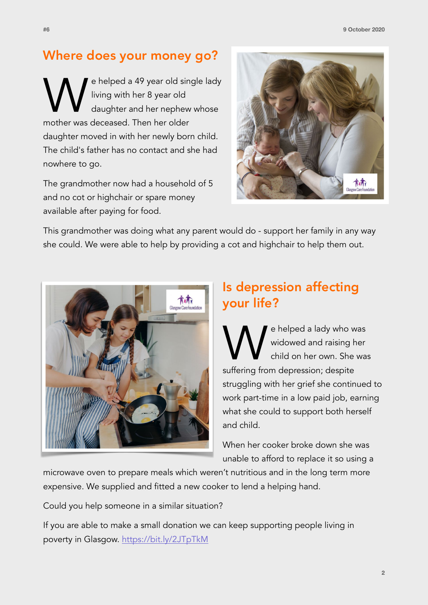### Where does your money go?

e helped a 49 year old single lady living with her 8 year old daughter and her nephew whose mother was deceased. Then her older daughter moved in with her newly born child. The child's father has no contact and she had nowhere to go.

The grandmother now had a household of 5 and no cot or highchair or spare money available after paying for food.



This grandmother was doing what any parent would do - support her family in any way she could. We were able to help by providing a cot and highchair to help them out.



## Is depression affecting your life?

We helped a lady who was<br>widowed and raising her<br>suffering from depression: despite widowed and raising her child on her own. She was suffering from depression; despite struggling with her grief she continued to work part-time in a low paid job, earning what she could to support both herself and child.

When her cooker broke down she was unable to afford to replace it so using a

microwave oven to prepare meals which weren't nutritious and in the long term more expensive. We supplied and fitted a new cooker to lend a helping hand.

Could you help someone in a similar situation?

If you are able to make a small donation we can keep supporting people living in poverty in Glasgow. <https://bit.ly/2JTpTkM>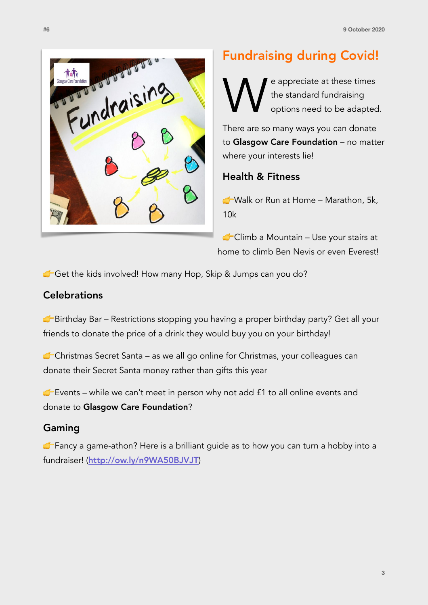

## Fundraising during Covid!

We appreciate at these times<br>the standard fundraising<br>options need to be adapted the standard fundraising options need to be adapted.

There are so many ways you can donate to Glasgow Care Foundation - no matter where your interests lie!

#### Health & Fitness

 Walk or Run at Home – Marathon, 5k, 10k

Climb a Mountain – Use your stairs at home to climb Ben Nevis or even Everest!

Get the kids involved! How many Hop, Skip & Jumps can you do?

### **Celebrations**

G Birthday Bar – Restrictions stopping you having a proper birthday party? Get all your friends to donate the price of a drink they would buy you on your birthday!

Christmas Secret Santa – as we all go online for Christmas, your colleagues can donate their Secret Santa money rather than gifts this year

 $\blacktriangleright$  Events – while we can't meet in person why not add  $f1$  to all online events and donate to Glasgow Care Foundation?

### Gaming

**Fancy a game-athon?** Here is a brilliant quide as to how you can turn a hobby into a fundraiser! (<http://ow.ly/n9WA50BJVJT>)